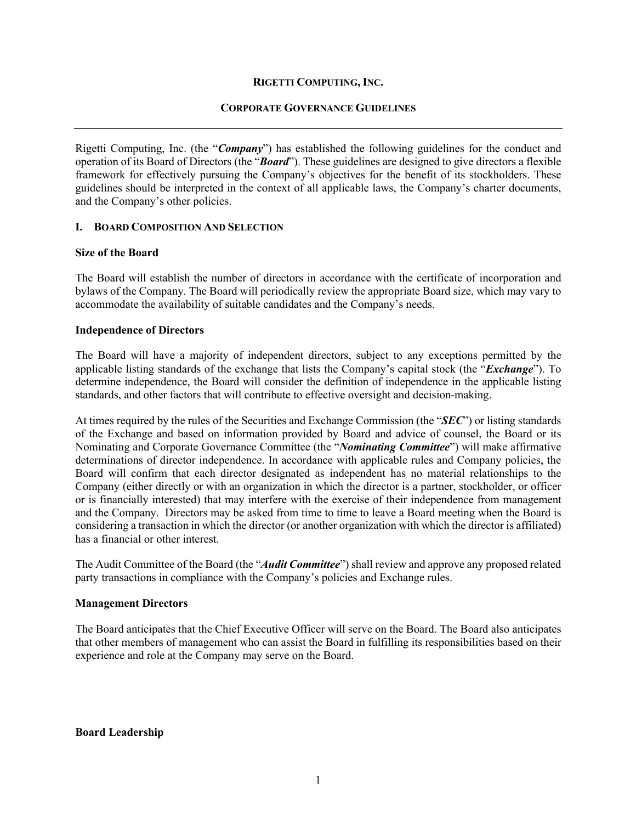#### **RIGETTI COMPUTING, INC.**

#### **CORPORATE GOVERNANCE GUIDELINES**

Rigetti Computing, Inc. (the "*Company*") has established the following guidelines for the conduct and operation of its Board of Directors (the "*Board*"). These guidelines are designed to give directors a flexible framework for effectively pursuing the Company's objectives for the benefit of its stockholders. These guidelines should be interpreted in the context of all applicable laws, the Company's charter documents, and the Company's other policies.

#### **I. BOARD COMPOSITION AND SELECTION**

#### **Size of the Board**

The Board will establish the number of directors in accordance with the certificate of incorporation and bylaws of the Company. The Board will periodically review the appropriate Board size, which may vary to accommodate the availability of suitable candidates and the Company's needs.

#### **Independence of Directors**

The Board will have a majority of independent directors, subject to any exceptions permitted by the applicable listing standards of the exchange that lists the Company's capital stock (the "*Exchange*"). To determine independence, the Board will consider the definition of independence in the applicable listing standards, and other factors that will contribute to effective oversight and decision-making.

At times required by the rules of the Securities and Exchange Commission (the "*SEC*") or listing standards of the Exchange and based on information provided by Board and advice of counsel, the Board or its Nominating and Corporate Governance Committee (the "*Nominating Committee*") will make affirmative determinations of director independence. In accordance with applicable rules and Company policies, the Board will confirm that each director designated as independent has no material relationships to the Company (either directly or with an organization in which the director is a partner, stockholder, or officer or is financially interested) that may interfere with the exercise of their independence from management and the Company. Directors may be asked from time to time to leave a Board meeting when the Board is considering a transaction in which the director (or another organization with which the director is affiliated) has a financial or other interest.

The Audit Committee of the Board (the "*Audit Committee*") shall review and approve any proposed related party transactions in compliance with the Company's policies and Exchange rules.

# **Management Directors**

The Board anticipates that the Chief Executive Officer will serve on the Board. The Board also anticipates that other members of management who can assist the Board in fulfilling its responsibilities based on their experience and role at the Company may serve on the Board.

**Board Leadership**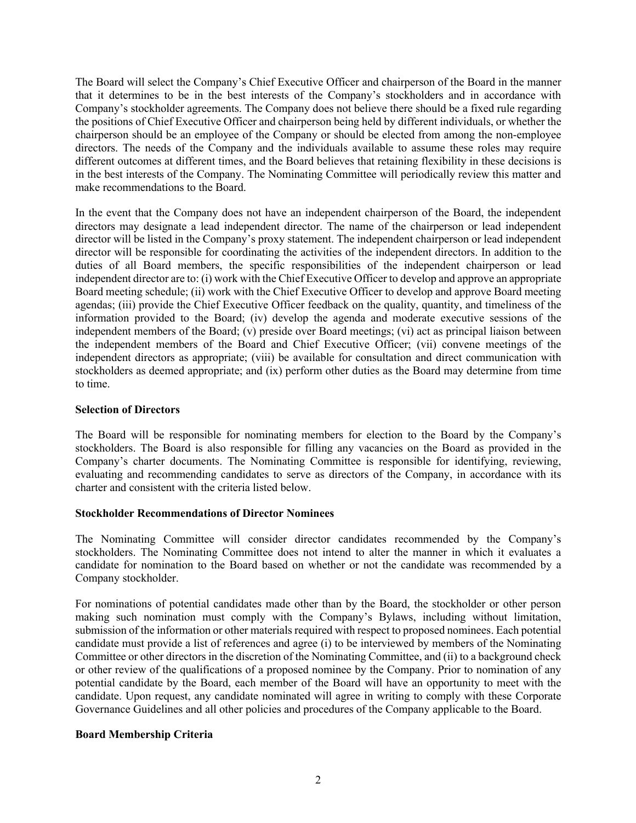The Board will select the Company's Chief Executive Officer and chairperson of the Board in the manner that it determines to be in the best interests of the Company's stockholders and in accordance with Company's stockholder agreements. The Company does not believe there should be a fixed rule regarding the positions of Chief Executive Officer and chairperson being held by different individuals, or whether the chairperson should be an employee of the Company or should be elected from among the non-employee directors. The needs of the Company and the individuals available to assume these roles may require different outcomes at different times, and the Board believes that retaining flexibility in these decisions is in the best interests of the Company. The Nominating Committee will periodically review this matter and make recommendations to the Board.

In the event that the Company does not have an independent chairperson of the Board, the independent directors may designate a lead independent director. The name of the chairperson or lead independent director will be listed in the Company's proxy statement. The independent chairperson or lead independent director will be responsible for coordinating the activities of the independent directors. In addition to the duties of all Board members, the specific responsibilities of the independent chairperson or lead independent director are to: (i) work with the Chief Executive Officer to develop and approve an appropriate Board meeting schedule; (ii) work with the Chief Executive Officer to develop and approve Board meeting agendas; (iii) provide the Chief Executive Officer feedback on the quality, quantity, and timeliness of the information provided to the Board; (iv) develop the agenda and moderate executive sessions of the independent members of the Board; (v) preside over Board meetings; (vi) act as principal liaison between the independent members of the Board and Chief Executive Officer; (vii) convene meetings of the independent directors as appropriate; (viii) be available for consultation and direct communication with stockholders as deemed appropriate; and (ix) perform other duties as the Board may determine from time to time.

#### **Selection of Directors**

The Board will be responsible for nominating members for election to the Board by the Company's stockholders. The Board is also responsible for filling any vacancies on the Board as provided in the Company's charter documents. The Nominating Committee is responsible for identifying, reviewing, evaluating and recommending candidates to serve as directors of the Company, in accordance with its charter and consistent with the criteria listed below.

#### **Stockholder Recommendations of Director Nominees**

The Nominating Committee will consider director candidates recommended by the Company's stockholders. The Nominating Committee does not intend to alter the manner in which it evaluates a candidate for nomination to the Board based on whether or not the candidate was recommended by a Company stockholder.

For nominations of potential candidates made other than by the Board, the stockholder or other person making such nomination must comply with the Company's Bylaws, including without limitation, submission of the information or other materials required with respect to proposed nominees. Each potential candidate must provide a list of references and agree (i) to be interviewed by members of the Nominating Committee or other directors in the discretion of the Nominating Committee, and (ii) to a background check or other review of the qualifications of a proposed nominee by the Company. Prior to nomination of any potential candidate by the Board, each member of the Board will have an opportunity to meet with the candidate. Upon request, any candidate nominated will agree in writing to comply with these Corporate Governance Guidelines and all other policies and procedures of the Company applicable to the Board.

# **Board Membership Criteria**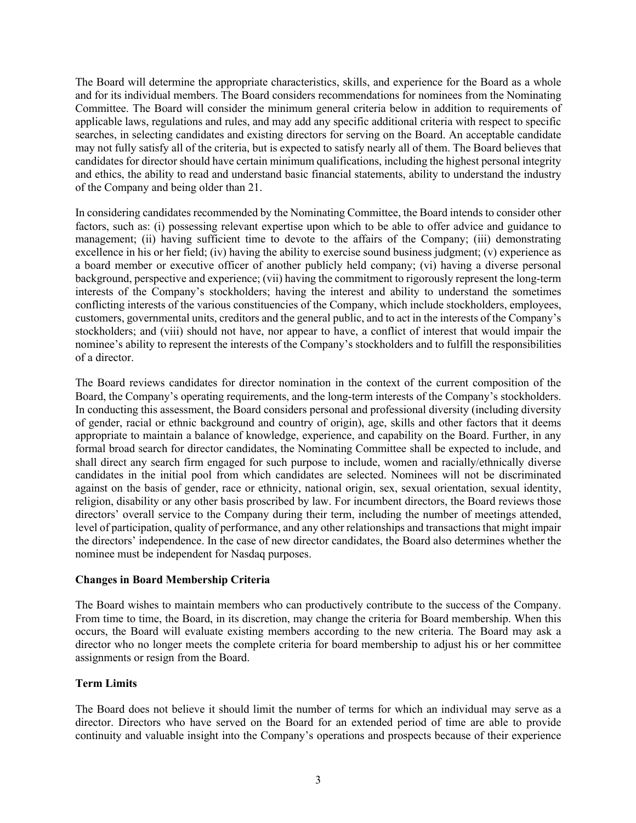The Board will determine the appropriate characteristics, skills, and experience for the Board as a whole and for its individual members. The Board considers recommendations for nominees from the Nominating Committee. The Board will consider the minimum general criteria below in addition to requirements of applicable laws, regulations and rules, and may add any specific additional criteria with respect to specific searches, in selecting candidates and existing directors for serving on the Board. An acceptable candidate may not fully satisfy all of the criteria, but is expected to satisfy nearly all of them. The Board believes that candidates for director should have certain minimum qualifications, including the highest personal integrity and ethics, the ability to read and understand basic financial statements, ability to understand the industry of the Company and being older than 21.

In considering candidates recommended by the Nominating Committee, the Board intends to consider other factors, such as: (i) possessing relevant expertise upon which to be able to offer advice and guidance to management; (ii) having sufficient time to devote to the affairs of the Company; (iii) demonstrating excellence in his or her field; (iv) having the ability to exercise sound business judgment; (v) experience as a board member or executive officer of another publicly held company; (vi) having a diverse personal background, perspective and experience; (vii) having the commitment to rigorously represent the long-term interests of the Company's stockholders; having the interest and ability to understand the sometimes conflicting interests of the various constituencies of the Company, which include stockholders, employees, customers, governmental units, creditors and the general public, and to act in the interests of the Company's stockholders; and (viii) should not have, nor appear to have, a conflict of interest that would impair the nominee's ability to represent the interests of the Company's stockholders and to fulfill the responsibilities of a director.

The Board reviews candidates for director nomination in the context of the current composition of the Board, the Company's operating requirements, and the long-term interests of the Company's stockholders. In conducting this assessment, the Board considers personal and professional diversity (including diversity of gender, racial or ethnic background and country of origin), age, skills and other factors that it deems appropriate to maintain a balance of knowledge, experience, and capability on the Board. Further, in any formal broad search for director candidates, the Nominating Committee shall be expected to include, and shall direct any search firm engaged for such purpose to include, women and racially/ethnically diverse candidates in the initial pool from which candidates are selected. Nominees will not be discriminated against on the basis of gender, race or ethnicity, national origin, sex, sexual orientation, sexual identity, religion, disability or any other basis proscribed by law. For incumbent directors, the Board reviews those directors' overall service to the Company during their term, including the number of meetings attended, level of participation, quality of performance, and any other relationships and transactions that might impair the directors' independence. In the case of new director candidates, the Board also determines whether the nominee must be independent for Nasdaq purposes.

# **Changes in Board Membership Criteria**

The Board wishes to maintain members who can productively contribute to the success of the Company. From time to time, the Board, in its discretion, may change the criteria for Board membership. When this occurs, the Board will evaluate existing members according to the new criteria. The Board may ask a director who no longer meets the complete criteria for board membership to adjust his or her committee assignments or resign from the Board.

# **Term Limits**

The Board does not believe it should limit the number of terms for which an individual may serve as a director. Directors who have served on the Board for an extended period of time are able to provide continuity and valuable insight into the Company's operations and prospects because of their experience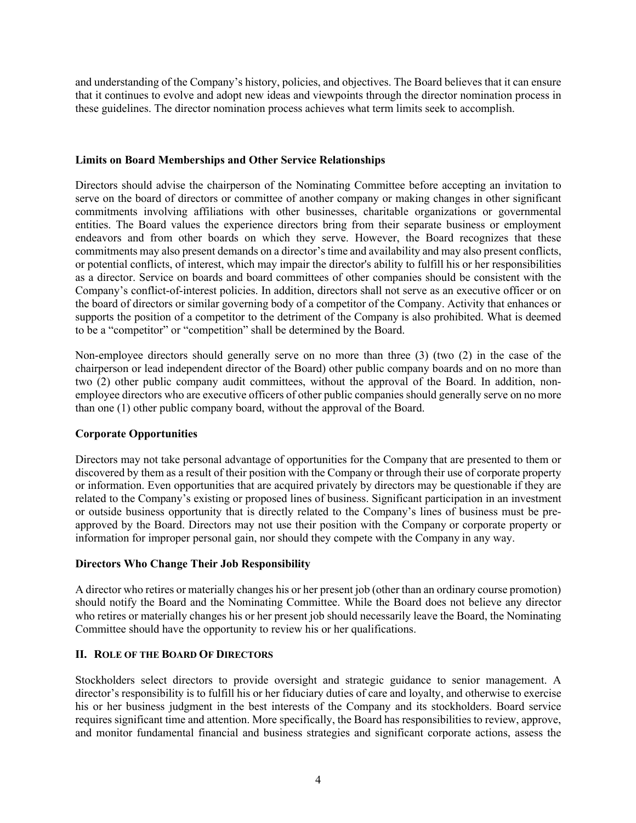and understanding of the Company's history, policies, and objectives. The Board believes that it can ensure that it continues to evolve and adopt new ideas and viewpoints through the director nomination process in these guidelines. The director nomination process achieves what term limits seek to accomplish.

# **Limits on Board Memberships and Other Service Relationships**

Directors should advise the chairperson of the Nominating Committee before accepting an invitation to serve on the board of directors or committee of another company or making changes in other significant commitments involving affiliations with other businesses, charitable organizations or governmental entities. The Board values the experience directors bring from their separate business or employment endeavors and from other boards on which they serve. However, the Board recognizes that these commitments may also present demands on a director's time and availability and may also present conflicts, or potential conflicts, of interest, which may impair the director's ability to fulfill his or her responsibilities as a director. Service on boards and board committees of other companies should be consistent with the Company's conflict-of-interest policies. In addition, directors shall not serve as an executive officer or on the board of directors or similar governing body of a competitor of the Company. Activity that enhances or supports the position of a competitor to the detriment of the Company is also prohibited. What is deemed to be a "competitor" or "competition" shall be determined by the Board.

Non-employee directors should generally serve on no more than three (3) (two (2) in the case of the chairperson or lead independent director of the Board) other public company boards and on no more than two (2) other public company audit committees, without the approval of the Board. In addition, nonemployee directors who are executive officers of other public companies should generally serve on no more than one (1) other public company board, without the approval of the Board.

# **Corporate Opportunities**

Directors may not take personal advantage of opportunities for the Company that are presented to them or discovered by them as a result of their position with the Company or through their use of corporate property or information. Even opportunities that are acquired privately by directors may be questionable if they are related to the Company's existing or proposed lines of business. Significant participation in an investment or outside business opportunity that is directly related to the Company's lines of business must be preapproved by the Board. Directors may not use their position with the Company or corporate property or information for improper personal gain, nor should they compete with the Company in any way.

# **Directors Who Change Their Job Responsibility**

A director who retires or materially changes his or her present job (other than an ordinary course promotion) should notify the Board and the Nominating Committee. While the Board does not believe any director who retires or materially changes his or her present job should necessarily leave the Board, the Nominating Committee should have the opportunity to review his or her qualifications.

# **II. ROLE OF THE BOARD OF DIRECTORS**

Stockholders select directors to provide oversight and strategic guidance to senior management. A director's responsibility is to fulfill his or her fiduciary duties of care and loyalty, and otherwise to exercise his or her business judgment in the best interests of the Company and its stockholders. Board service requires significant time and attention. More specifically, the Board has responsibilities to review, approve, and monitor fundamental financial and business strategies and significant corporate actions, assess the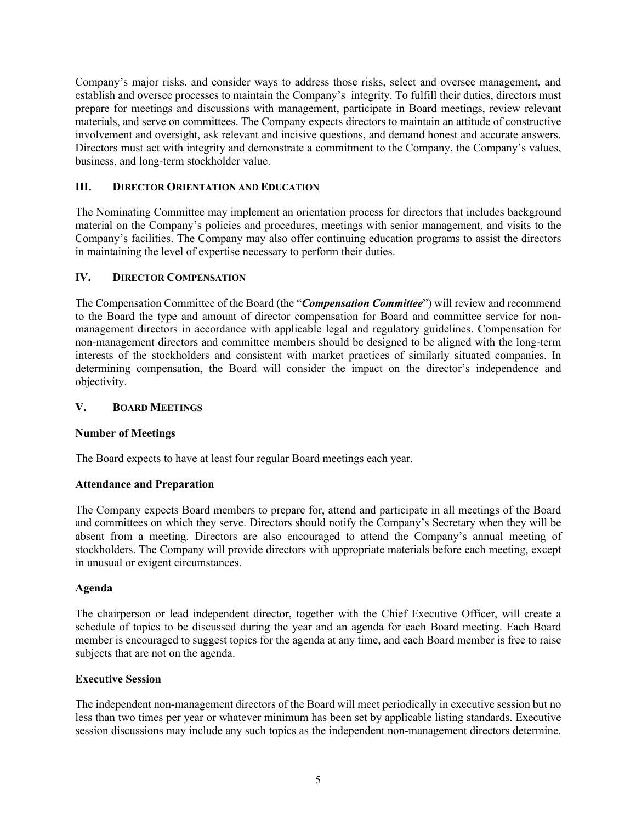Company's major risks, and consider ways to address those risks, select and oversee management, and establish and oversee processes to maintain the Company's integrity. To fulfill their duties, directors must prepare for meetings and discussions with management, participate in Board meetings, review relevant materials, and serve on committees. The Company expects directors to maintain an attitude of constructive involvement and oversight, ask relevant and incisive questions, and demand honest and accurate answers. Directors must act with integrity and demonstrate a commitment to the Company, the Company's values, business, and long-term stockholder value.

# **III. DIRECTOR ORIENTATION AND EDUCATION**

The Nominating Committee may implement an orientation process for directors that includes background material on the Company's policies and procedures, meetings with senior management, and visits to the Company's facilities. The Company may also offer continuing education programs to assist the directors in maintaining the level of expertise necessary to perform their duties.

# **IV. DIRECTOR COMPENSATION**

The Compensation Committee of the Board (the "*Compensation Committee*") will review and recommend to the Board the type and amount of director compensation for Board and committee service for nonmanagement directors in accordance with applicable legal and regulatory guidelines. Compensation for non-management directors and committee members should be designed to be aligned with the long-term interests of the stockholders and consistent with market practices of similarly situated companies. In determining compensation, the Board will consider the impact on the director's independence and objectivity.

# **V. BOARD MEETINGS**

# **Number of Meetings**

The Board expects to have at least four regular Board meetings each year.

# **Attendance and Preparation**

The Company expects Board members to prepare for, attend and participate in all meetings of the Board and committees on which they serve. Directors should notify the Company's Secretary when they will be absent from a meeting. Directors are also encouraged to attend the Company's annual meeting of stockholders. The Company will provide directors with appropriate materials before each meeting, except in unusual or exigent circumstances.

# **Agenda**

The chairperson or lead independent director, together with the Chief Executive Officer, will create a schedule of topics to be discussed during the year and an agenda for each Board meeting. Each Board member is encouraged to suggest topics for the agenda at any time, and each Board member is free to raise subjects that are not on the agenda.

# **Executive Session**

The independent non-management directors of the Board will meet periodically in executive session but no less than two times per year or whatever minimum has been set by applicable listing standards. Executive session discussions may include any such topics as the independent non-management directors determine.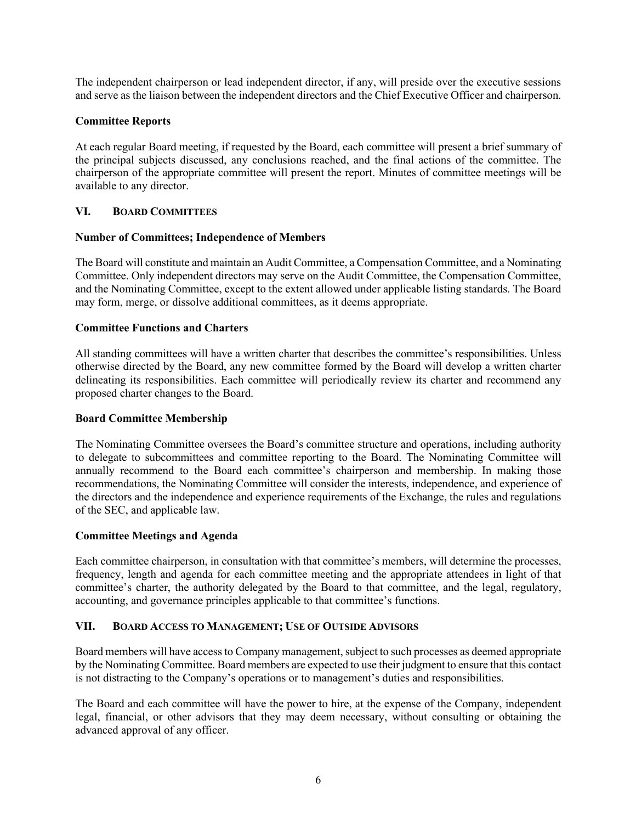The independent chairperson or lead independent director, if any, will preside over the executive sessions and serve as the liaison between the independent directors and the Chief Executive Officer and chairperson.

# **Committee Reports**

At each regular Board meeting, if requested by the Board, each committee will present a brief summary of the principal subjects discussed, any conclusions reached, and the final actions of the committee. The chairperson of the appropriate committee will present the report. Minutes of committee meetings will be available to any director.

# **VI. BOARD COMMITTEES**

# **Number of Committees; Independence of Members**

The Board will constitute and maintain an Audit Committee, a Compensation Committee, and a Nominating Committee. Only independent directors may serve on the Audit Committee, the Compensation Committee, and the Nominating Committee, except to the extent allowed under applicable listing standards. The Board may form, merge, or dissolve additional committees, as it deems appropriate.

# **Committee Functions and Charters**

All standing committees will have a written charter that describes the committee's responsibilities. Unless otherwise directed by the Board, any new committee formed by the Board will develop a written charter delineating its responsibilities. Each committee will periodically review its charter and recommend any proposed charter changes to the Board.

# **Board Committee Membership**

The Nominating Committee oversees the Board's committee structure and operations, including authority to delegate to subcommittees and committee reporting to the Board. The Nominating Committee will annually recommend to the Board each committee's chairperson and membership. In making those recommendations, the Nominating Committee will consider the interests, independence, and experience of the directors and the independence and experience requirements of the Exchange, the rules and regulations of the SEC, and applicable law.

# **Committee Meetings and Agenda**

Each committee chairperson, in consultation with that committee's members, will determine the processes, frequency, length and agenda for each committee meeting and the appropriate attendees in light of that committee's charter, the authority delegated by the Board to that committee, and the legal, regulatory, accounting, and governance principles applicable to that committee's functions.

# **VII. BOARD ACCESS TO MANAGEMENT; USE OF OUTSIDE ADVISORS**

Board members will have access to Company management, subject to such processes as deemed appropriate by the Nominating Committee. Board members are expected to use their judgment to ensure that this contact is not distracting to the Company's operations or to management's duties and responsibilities.

The Board and each committee will have the power to hire, at the expense of the Company, independent legal, financial, or other advisors that they may deem necessary, without consulting or obtaining the advanced approval of any officer.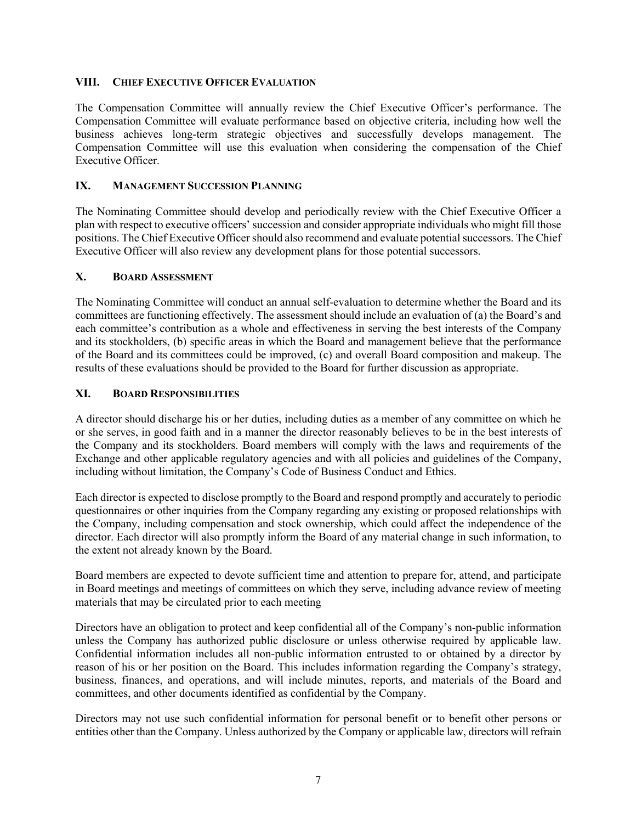# **VIII. CHIEF EXECUTIVE OFFICER EVALUATION**

The Compensation Committee will annually review the Chief Executive Officer's performance. The Compensation Committee will evaluate performance based on objective criteria, including how well the business achieves long-term strategic objectives and successfully develops management. The Compensation Committee will use this evaluation when considering the compensation of the Chief Executive Officer.

# **IX. MANAGEMENT SUCCESSION PLANNING**

The Nominating Committee should develop and periodically review with the Chief Executive Officer a plan with respect to executive officers' succession and consider appropriate individuals who might fill those positions. The Chief Executive Officer should also recommend and evaluate potential successors. The Chief Executive Officer will also review any development plans for those potential successors.

#### **X. BOARD ASSESSMENT**

The Nominating Committee will conduct an annual self-evaluation to determine whether the Board and its committees are functioning effectively. The assessment should include an evaluation of (a) the Board's and each committee's contribution as a whole and effectiveness in serving the best interests of the Company and its stockholders, (b) specific areas in which the Board and management believe that the performance of the Board and its committees could be improved, (c) and overall Board composition and makeup. The results of these evaluations should be provided to the Board for further discussion as appropriate.

#### **XI. BOARD RESPONSIBILITIES**

A director should discharge his or her duties, including duties as a member of any committee on which he or she serves, in good faith and in a manner the director reasonably believes to be in the best interests of the Company and its stockholders. Board members will comply with the laws and requirements of the Exchange and other applicable regulatory agencies and with all policies and guidelines of the Company, including without limitation, the Company's Code of Business Conduct and Ethics.

Each director is expected to disclose promptly to the Board and respond promptly and accurately to periodic questionnaires or other inquiries from the Company regarding any existing or proposed relationships with the Company, including compensation and stock ownership, which could affect the independence of the director. Each director will also promptly inform the Board of any material change in such information, to the extent not already known by the Board.

Board members are expected to devote sufficient time and attention to prepare for, attend, and participate in Board meetings and meetings of committees on which they serve, including advance review of meeting materials that may be circulated prior to each meeting

Directors have an obligation to protect and keep confidential all of the Company's non-public information unless the Company has authorized public disclosure or unless otherwise required by applicable law. Confidential information includes all non-public information entrusted to or obtained by a director by reason of his or her position on the Board. This includes information regarding the Company's strategy, business, finances, and operations, and will include minutes, reports, and materials of the Board and committees, and other documents identified as confidential by the Company.

Directors may not use such confidential information for personal benefit or to benefit other persons or entities other than the Company. Unless authorized by the Company or applicable law, directors will refrain